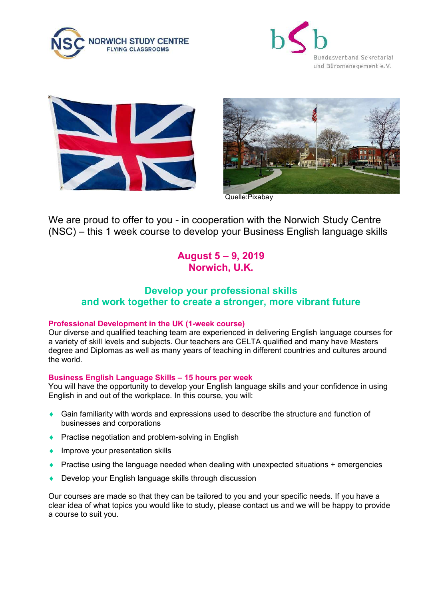







Quelle:Pixabay

We are proud to offer to you - in cooperation with the Norwich Study Centre (NSC) – this 1 week course to develop your Business English language skills

# August 5 – 9, 2019 Norwich, U.K.

# Develop your professional skills and work together to create a stronger, more vibrant future

## Professional Development in the UK (1-week course)

Our diverse and qualified teaching team are experienced in delivering English language courses for a variety of skill levels and subjects. Our teachers are CELTA qualified and many have Masters degree and Diplomas as well as many years of teaching in different countries and cultures around the world.

## Business English Language Skills – 15 hours per week

You will have the opportunity to develop your English language skills and your confidence in using English in and out of the workplace. In this course, you will:

- Gain familiarity with words and expressions used to describe the structure and function of businesses and corporations
- ◆ Practise negotiation and problem-solving in English
- **IMPROVE YOUT presentation skills**
- Practise using the language needed when dealing with unexpected situations + emergencies
- Develop your English language skills through discussion

Our courses are made so that they can be tailored to you and your specific needs. If you have a clear idea of what topics you would like to study, please contact us and we will be happy to provide a course to suit you.